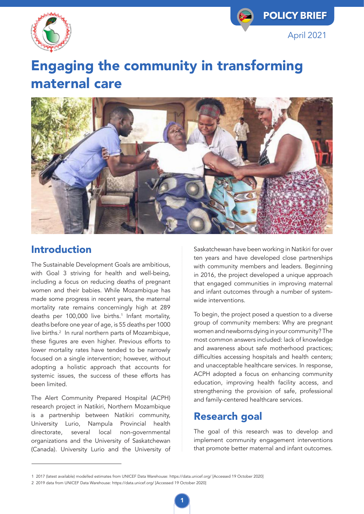



# Engaging the community in transforming maternal care



## Introduction

The Sustainable Development Goals are ambitious, with Goal 3 striving for health and well-being, including a focus on reducing deaths of pregnant women and their babies. While Mozambique has made some progress in recent years, the maternal mortality rate remains concerningly high at 289 deaths per 100,000 live births.<sup>1</sup> Infant mortality, deaths before one year of age, is 55 deaths per 1000 live births.<sup>2</sup> In rural northern parts of Mozambique, these figures are even higher. Previous efforts to lower mortality rates have tended to be narrowly focused on a single intervention; however, without adopting a holistic approach that accounts for systemic issues, the success of these efforts has been limited.

The Alert Community Prepared Hospital (ACPH) research project in Natikiri, Northern Mozambique is a partnership between Natikiri community, University Lurio, Nampula Provincial health directorate, several local non-governmental organizations and the University of Saskatchewan (Canada). University Lurio and the University of

Saskatchewan have been working in Natikiri for over ten years and have developed close partnerships with community members and leaders. Beginning in 2016, the project developed a unique approach that engaged communities in improving maternal and infant outcomes through a number of systemwide interventions.

To begin, the project posed a question to a diverse group of community members: Why are pregnant women and newborns dying in your community? The most common answers included: lack of knowledge and awareness about safe motherhood practices; difficulties accessing hospitals and health centers; and unacceptable healthcare services. In response, ACPH adopted a focus on enhancing community education, improving health facility access, and strengthening the provision of safe, professional and family-centered healthcare services.

## Research goal

The goal of this research was to develop and implement community engagement interventions that promote better maternal and infant outcomes.

<sup>1 2017 (</sup>latest available) modelled estimates from UNICEF Data Warehouse: https://data.unicef.org/ [Accessed 19 October 2020]

<sup>2 2019</sup> data from UNICEF Data Warehouse: https://data.unicef.org/ [Accessed 19 October 2020]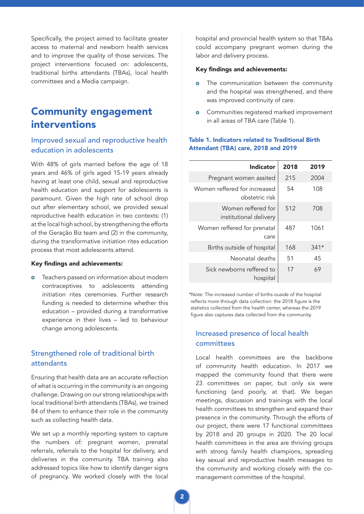Specifically, the project aimed to facilitate greater access to maternal and newborn health services and to improve the quality of those services. The project interventions focused on: adolescents, traditional births attendants (TBAs), local health committees and a Media campaign.

## Community engagement interventions

### Improved sexual and reproductive health education in adolescents

With 48% of girls married before the age of 18 years and 46% of girls aged 15-19 years already having at least one child, sexual and reproductive health education and support for adolescents is paramount. Given the high rate of school drop out after elementary school, we provided sexual reproductive health education in two contexts: (1) at the local high school, by strengthening the efforts of the Geração Biz team and (2) in the community, during the transformative initiation rites education process that most adolescents attend.

#### Key findings and achievements:

Teachers passed on information about modern  $\bullet$ contraceptives to adolescents attending initiation rites ceremonies. Further research funding is needed to determine whether this education – provided during a transformative experience in their lives – led to behaviour change among adolescents.

### Strengthened role of traditional birth attendants

Ensuring that health data are an accurate reflection of what is occurring in the community is an ongoing challenge. Drawing on our strong relationships with local traditional birth attendants (TBAs), we trained 84 of them to enhance their role in the community such as collecting health data.

We set up a monthly reporting system to capture the numbers of: pregnant women, prenatal referrals, referrals to the hospital for delivery, and deliveries in the community. TBA training also addressed topics like how to identify danger signs of pregnancy. We worked closely with the local hospital and provincial health system so that TBAs could accompany pregnant women during the labor and delivery process.

#### Key findings and achievements:

- The communication between the community  $\bullet$ and the hospital was strengthened, and there was improved continuity of care.
- **O** Communities registered marked improvement in all areas of TBA care (Table 1).

### Table 1. Indicators related to Traditional Birth Attendant (TBA) care, 2018 and 2019

| 2019   | 2018 | Indicator                                      |
|--------|------|------------------------------------------------|
| 2004   | 215  | Pregnant women assited                         |
| 108    | 54   | Women reffered for increased<br>obstetric risk |
| 708    | 512  | Women reffered for<br>institutional delivery   |
| 1061   | 487  | Women reffered for prenatal<br>care            |
| $341*$ | 168  | Births outside of hospital                     |
| 45     | 51   | Neonatal deaths                                |
| 69     | 17   | Sick newborns reffered to<br>hospital          |

\*Note: The increased number of births ouside of the hospital reflects more through data collection: the 2018 figure is the statistics collected from the health center, whereas the 2019 figure also captures data collected from the community.

### Increased presence of local health committees

Local health committees are the backbone of community health education. In 2017 we mapped the community found that there were 23 committees on paper, but only six were functioning (and poorly, at that). We began meetings, discussion and trainings with the local health committees to strengthen and expand their presence in the community. Through the efforts of our project, there were 17 functional committees by 2018 and 20 groups in 2020. The 20 local health committees in the area are thriving groups with strong family health champions, spreading key sexual and reproductive health messages to the community and working closely with the comanagement committee of the hospital.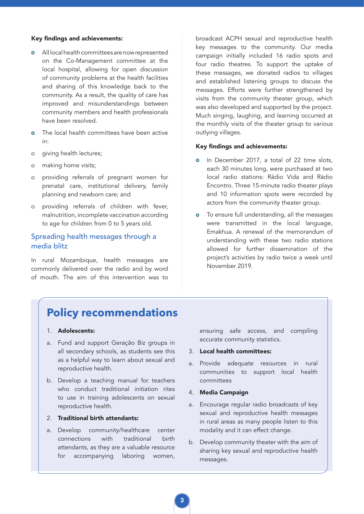#### Key findings and achievements:

- All local health committees are now represented  $\bullet$ on the Co-Management committee at the local hospital, allowing for open discussion of community problems at the health facilities and sharing of this knowledge back to the community. As a result, the quality of care has improved and misunderstandings between community members and health professionals have been resolved.
- The local health committees have been active  $\triangleright$ in:
- o giving health lectures;
- o making home visits;
- o providing referrals of pregnant women for prenatal care, institutional delivery, family planning and newborn care; and
- o providing referrals of children with fever, malnutrition, incomplete vaccination according to age for children from 0 to 5 years old.

### Spreading health messages through a media blitz

In rural Mozambique, health messages are commonly delivered over the radio and by word of mouth. The aim of this intervention was to

broadcast ACPH sexual and reproductive health key messages to the community. Our media campaign initially included 16 radio spots and four radio theatres. To support the uptake of these messages, we donated radios to villages and established listening groups to discuss the messages. Efforts were further strengthened by visits from the community theater group, which was also developed and supported by the project. Much singing, laughing, and learning occurred at the monthly visits of the theater group to various outlying villages.

#### Key findings and achievements:

- In December 2017, a total of 22 time slots,  $\bullet$ each 30 minutes long, were purchased at two local radio stations: Rádio Vida and Rádio Encontro. Three 15-minute radio theater plays and 10 information spots were recorded by actors from the community theater group.
- **o** To ensure full understanding, all the messages were transmitted in the local language, Emakhua. A renewal of the memorandum of understanding with these two radio stations allowed for further dissemination of the project's activities by radio twice a week until November 2019.

## **Policy recommendations**

#### 1. Adolescents:

- a. Fund and support Geração Biz groups in all secondary schools, as students see this as a helpful way to learn about sexual and reproductive health.
- b. Develop a teaching manual for teachers who conduct traditional initiation rites to use in training adolescents on sexual reproductive health.

#### 2. Traditional birth attendants:

a. Develop community/healthcare center connections with traditional birth attendants, as they are a valuable resource for accompanying laboring women,

ensuring safe access, and compiling accurate community statistics.

- 3. Local health committees:
- a. Provide adequate resources in rural communities to support local health committees
- 4. Media Campaign
- a. Encourage regular radio broadcasts of key sexual and reproductive health messages in rural areas as many people listen to this modality and it can effect change.
- b. Develop community theater with the aim of sharing key sexual and reproductive health messages.